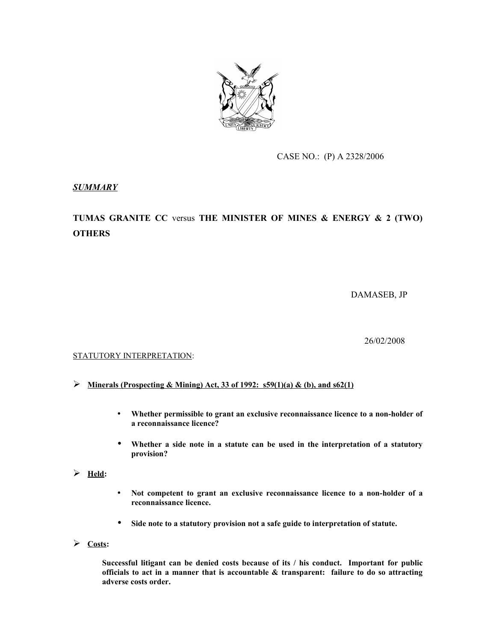

CASE NO.: (P) A 2328/2006

## *SUMMARY*

# **TUMAS GRANITE CC** versus **THE MINISTER OF MINES & ENERGY & 2 (TWO) OTHERS**

DAMASEB, JP

26/02/2008

### STATUTORY INTERPRETATION:

- **Minerals (Prospecting & Mining) Act, 33 of 1992: s59(1)(a) & (b), and s62(1)**
	- **Whether permissible to grant an exclusive reconnaissance licence to a non-holder of a reconnaissance licence?**
	- **Whether a side note in a statute can be used in the interpretation of a statutory provision?**
- $\triangleright$  <u>Held</u>:
- **Not competent to grant an exclusive reconnaissance licence to a non-holder of a reconnaissance licence.**
- **Side note to a statutory provision not a safe guide to interpretation of statute.**
- **Costs:**

**Successful litigant can be denied costs because of its / his conduct. Important for public officials to act in a manner that is accountable & transparent: failure to do so attracting adverse costs order.**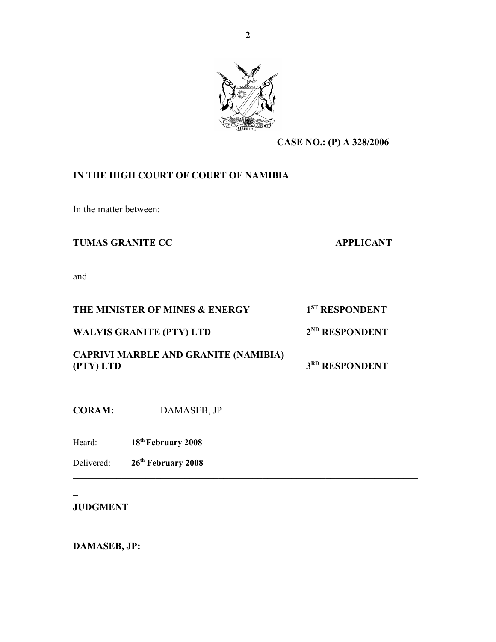

 $\mathcal{L}_\text{max}$  , and the contribution of the contribution of the contribution of the contribution of the contribution of the contribution of the contribution of the contribution of the contribution of the contribution of t

**CASE NO.: (P) A 328/2006**

## **IN THE HIGH COURT OF COURT OF NAMIBIA**

In the matter between:

## **TUMAS GRANITE CC APPLICANT**

and

## **THE MINISTER OF MINES & ENERGY 1**

**WALVIS GRANITE (PTY) LTD 2**

**ND RESPONDENT**

1<sup>ST</sup>**RESPONDENT** 

**CAPRIVI MARBLE AND GRANITE (NAMIBIA) (PTY) LTD 3**

**3RD RESPONDENT** 

**CORAM:** DAMASEB, JP

Heard: **18th February 2008**

Delivered: **26th February 2008**

## **JUDGMENT**

 $\mathbf{r}$ 

## **DAMASEB, JP:**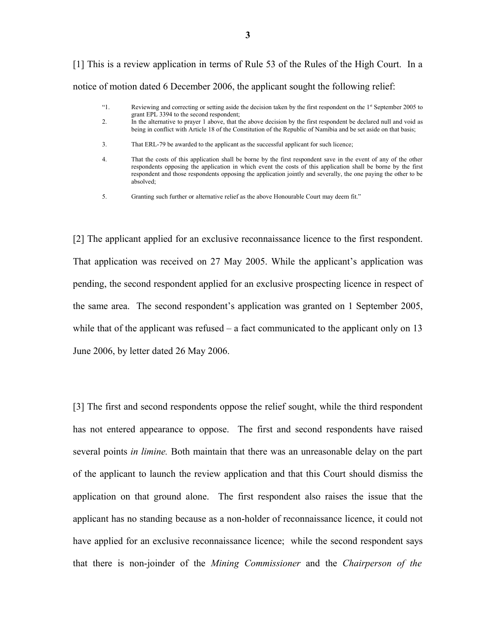[1] This is a review application in terms of Rule 53 of the Rules of the High Court. In a notice of motion dated 6 December 2006, the applicant sought the following relief:

- "1. Reviewing and correcting or setting aside the decision taken by the first respondent on the 1st September 2005 to grant EPL 3394 to the second respondent;
- 2. In the alternative to prayer 1 above, that the above decision by the first respondent be declared null and void as being in conflict with Article 18 of the Constitution of the Republic of Namibia and be set aside on that basis;
- 3. That ERL-79 be awarded to the applicant as the successful applicant for such licence;
- 4. That the costs of this application shall be borne by the first respondent save in the event of any of the other respondents opposing the application in which event the costs of this application shall be borne by the first respondent and those respondents opposing the application jointly and severally, the one paying the other to be absolved;
- 5. Granting such further or alternative relief as the above Honourable Court may deem fit."

[2] The applicant applied for an exclusive reconnaissance licence to the first respondent. That application was received on 27 May 2005. While the applicant's application was pending, the second respondent applied for an exclusive prospecting licence in respect of the same area. The second respondent's application was granted on 1 September 2005, while that of the applicant was refused – a fact communicated to the applicant only on 13 June 2006, by letter dated 26 May 2006.

[3] The first and second respondents oppose the relief sought, while the third respondent has not entered appearance to oppose. The first and second respondents have raised several points *in limine.* Both maintain that there was an unreasonable delay on the part of the applicant to launch the review application and that this Court should dismiss the application on that ground alone. The first respondent also raises the issue that the applicant has no standing because as a non-holder of reconnaissance licence, it could not have applied for an exclusive reconnaissance licence; while the second respondent says that there is non-joinder of the *Mining Commissioner* and the *Chairperson of the*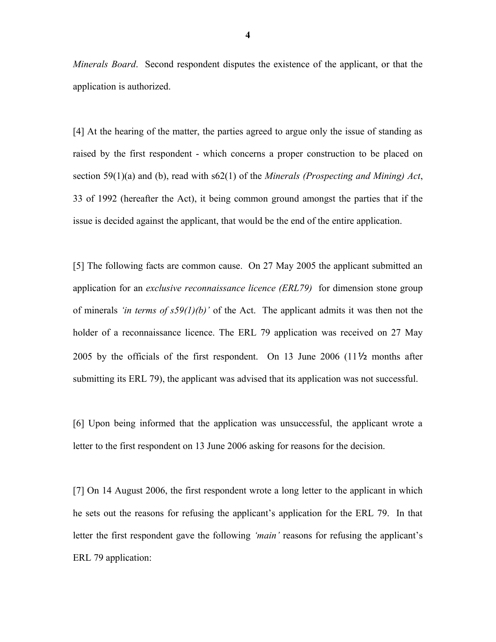*Minerals Board*. Second respondent disputes the existence of the applicant, or that the application is authorized.

[4] At the hearing of the matter, the parties agreed to argue only the issue of standing as raised by the first respondent - which concerns a proper construction to be placed on section 59(1)(a) and (b), read with s62(1) of the *Minerals (Prospecting and Mining) Act*, 33 of 1992 (hereafter the Act), it being common ground amongst the parties that if the issue is decided against the applicant, that would be the end of the entire application.

[5] The following facts are common cause. On 27 May 2005 the applicant submitted an application for an *exclusive reconnaissance licence (ERL79)* for dimension stone group of minerals *'in terms of s59(1)(b)'* of the Act. The applicant admits it was then not the holder of a reconnaissance licence. The ERL 79 application was received on 27 May 2005 by the officials of the first respondent. On 13 June 2006 (11½ months after submitting its ERL 79), the applicant was advised that its application was not successful.

[6] Upon being informed that the application was unsuccessful, the applicant wrote a letter to the first respondent on 13 June 2006 asking for reasons for the decision.

[7] On 14 August 2006, the first respondent wrote a long letter to the applicant in which he sets out the reasons for refusing the applicant's application for the ERL 79. In that letter the first respondent gave the following *'main'* reasons for refusing the applicant's ERL 79 application: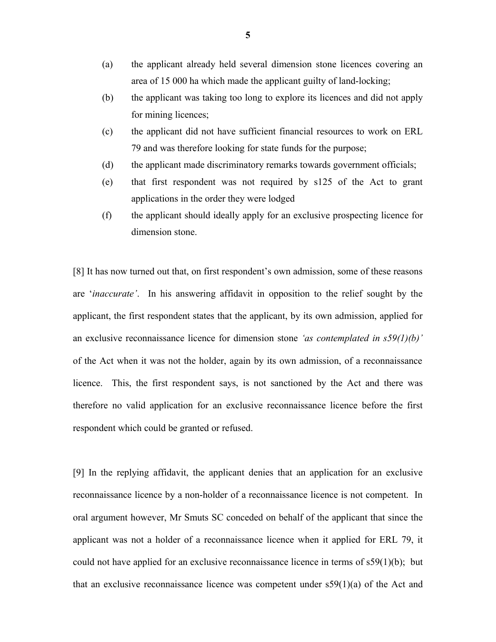- (a) the applicant already held several dimension stone licences covering an area of 15 000 ha which made the applicant guilty of land-locking;
- (b) the applicant was taking too long to explore its licences and did not apply for mining licences;
- (c) the applicant did not have sufficient financial resources to work on ERL 79 and was therefore looking for state funds for the purpose;
- (d) the applicant made discriminatory remarks towards government officials;
- (e) that first respondent was not required by s125 of the Act to grant applications in the order they were lodged
- (f) the applicant should ideally apply for an exclusive prospecting licence for dimension stone.

[8] It has now turned out that, on first respondent's own admission, some of these reasons are '*inaccurate'*. In his answering affidavit in opposition to the relief sought by the applicant, the first respondent states that the applicant, by its own admission, applied for an exclusive reconnaissance licence for dimension stone *'as contemplated in s59(1)(b)'* of the Act when it was not the holder, again by its own admission, of a reconnaissance licence. This, the first respondent says, is not sanctioned by the Act and there was therefore no valid application for an exclusive reconnaissance licence before the first respondent which could be granted or refused.

[9] In the replying affidavit, the applicant denies that an application for an exclusive reconnaissance licence by a non-holder of a reconnaissance licence is not competent. In oral argument however, Mr Smuts SC conceded on behalf of the applicant that since the applicant was not a holder of a reconnaissance licence when it applied for ERL 79, it could not have applied for an exclusive reconnaissance licence in terms of  $s59(1)(b)$ ; but that an exclusive reconnaissance licence was competent under  $s59(1)(a)$  of the Act and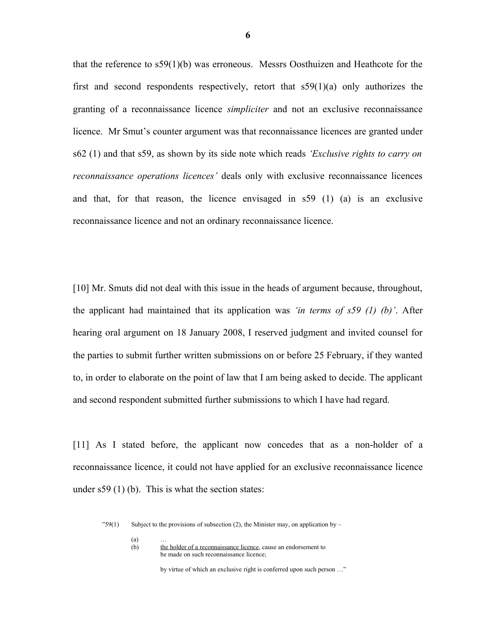that the reference to s59(1)(b) was erroneous. Messrs Oosthuizen and Heathcote for the first and second respondents respectively, retort that  $s59(1)(a)$  only authorizes the granting of a reconnaissance licence *simpliciter* and not an exclusive reconnaissance licence. Mr Smut's counter argument was that reconnaissance licences are granted under s62 (1) and that s59, as shown by its side note which reads *'Exclusive rights to carry on reconnaissance operations licences'* deals only with exclusive reconnaissance licences and that, for that reason, the licence envisaged in s59 (1) (a) is an exclusive reconnaissance licence and not an ordinary reconnaissance licence.

[10] Mr. Smuts did not deal with this issue in the heads of argument because, throughout, the applicant had maintained that its application was *'in terms of s59 (1) (b)'*. After hearing oral argument on 18 January 2008, I reserved judgment and invited counsel for the parties to submit further written submissions on or before 25 February, if they wanted to, in order to elaborate on the point of law that I am being asked to decide. The applicant and second respondent submitted further submissions to which I have had regard.

[11] As I stated before, the applicant now concedes that as a non-holder of a reconnaissance licence, it could not have applied for an exclusive reconnaissance licence under  $s59$  (1) (b). This is what the section states:

 $"59(1)$  Subject to the provisions of subsection (2), the Minister may, on application by –

 $\begin{array}{c} (a) \\ (b) \end{array}$ 

the holder of a reconnaissance licence, cause an endorsement to be made on such reconnaissance licence;

by virtue of which an exclusive right is conferred upon such person …"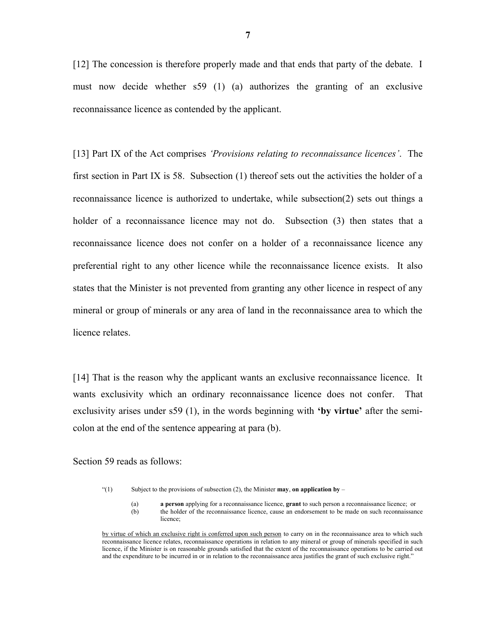[12] The concession is therefore properly made and that ends that party of the debate. I must now decide whether s59 (1) (a) authorizes the granting of an exclusive reconnaissance licence as contended by the applicant.

[13] Part IX of the Act comprises *'Provisions relating to reconnaissance licences'*. The first section in Part IX is 58. Subsection (1) thereof sets out the activities the holder of a reconnaissance licence is authorized to undertake, while subsection(2) sets out things a holder of a reconnaissance licence may not do. Subsection (3) then states that a reconnaissance licence does not confer on a holder of a reconnaissance licence any preferential right to any other licence while the reconnaissance licence exists. It also states that the Minister is not prevented from granting any other licence in respect of any mineral or group of minerals or any area of land in the reconnaissance area to which the licence relates.

[14] That is the reason why the applicant wants an exclusive reconnaissance licence. It wants exclusivity which an ordinary reconnaissance licence does not confer. That exclusivity arises under s59 (1), in the words beginning with **'by virtue'** after the semicolon at the end of the sentence appearing at para (b).

Section 59 reads as follows:

"(1) Subject to the provisions of subsection (2), the Minister **may**, **on application by** –

(a) **a person** applying for a reconnaissance licence, **grant** to such person a reconnaissance licence; or (b) the holder of the reconnaissance licence, cause an endorsement to be made on such reconnaissance licence;

by virtue of which an exclusive right is conferred upon such person to carry on in the reconnaissance area to which such reconnaissance licence relates, reconnaissance operations in relation to any mineral or group of minerals specified in such licence, if the Minister is on reasonable grounds satisfied that the extent of the reconnaissance operations to be carried out and the expenditure to be incurred in or in relation to the reconnaissance area justifies the grant of such exclusive right."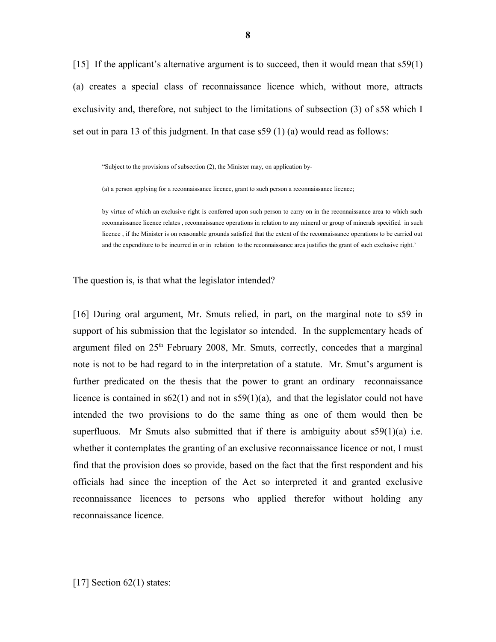[15] If the applicant's alternative argument is to succeed, then it would mean that  $s59(1)$ (a) creates a special class of reconnaissance licence which, without more, attracts exclusivity and, therefore, not subject to the limitations of subsection (3) of s58 which I set out in para 13 of this judgment. In that case s59 (1) (a) would read as follows:

"Subject to the provisions of subsection (2), the Minister may, on application by-

(a) a person applying for a reconnaissance licence, grant to such person a reconnaissance licence;

by virtue of which an exclusive right is conferred upon such person to carry on in the reconnaissance area to which such reconnaissance licence relates , reconnaissance operations in relation to any mineral or group of minerals specified in such licence , if the Minister is on reasonable grounds satisfied that the extent of the reconnaissance operations to be carried out and the expenditure to be incurred in or in relation to the reconnaissance area justifies the grant of such exclusive right.'

The question is, is that what the legislator intended?

[16] During oral argument, Mr. Smuts relied, in part, on the marginal note to s59 in support of his submission that the legislator so intended. In the supplementary heads of argument filed on  $25<sup>th</sup>$  February 2008, Mr. Smuts, correctly, concedes that a marginal note is not to be had regard to in the interpretation of a statute. Mr. Smut's argument is further predicated on the thesis that the power to grant an ordinary reconnaissance licence is contained in  $s62(1)$  and not in  $s59(1)(a)$ , and that the legislator could not have intended the two provisions to do the same thing as one of them would then be superfluous. Mr Smuts also submitted that if there is ambiguity about  $\frac{59(1)}{a}$  i.e. whether it contemplates the granting of an exclusive reconnaissance licence or not, I must find that the provision does so provide, based on the fact that the first respondent and his officials had since the inception of the Act so interpreted it and granted exclusive reconnaissance licences to persons who applied therefor without holding any reconnaissance licence.

[17] Section 62(1) states: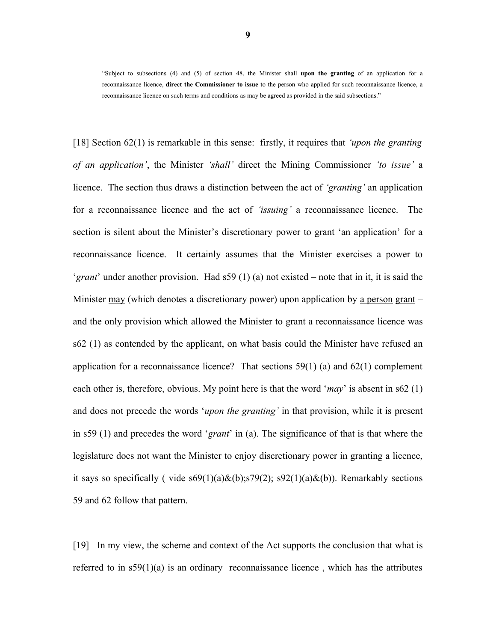"Subject to subsections (4) and (5) of section 48, the Minister shall **upon the granting** of an application for a reconnaissance licence, **direct the Commissioner to issue** to the person who applied for such reconnaissance licence, a reconnaissance licence on such terms and conditions as may be agreed as provided in the said subsections."

[18] Section 62(1) is remarkable in this sense: firstly, it requires that *'upon the granting of an application'*, the Minister *'shall'* direct the Mining Commissioner *'to issue'* a licence. The section thus draws a distinction between the act of *'granting'* an application for a reconnaissance licence and the act of *'issuing'* a reconnaissance licence. The section is silent about the Minister's discretionary power to grant 'an application' for a reconnaissance licence. It certainly assumes that the Minister exercises a power to '*grant*' under another provision. Had s59 (1) (a) not existed – note that in it, it is said the Minister may (which denotes a discretionary power) upon application by a person grant – and the only provision which allowed the Minister to grant a reconnaissance licence was s62 (1) as contended by the applicant, on what basis could the Minister have refused an application for a reconnaissance licence? That sections  $59(1)$  (a) and  $62(1)$  complement each other is, therefore, obvious. My point here is that the word '*may*' is absent in s62 (1) and does not precede the words '*upon the granting'* in that provision, while it is present in s59 (1) and precedes the word '*grant*' in (a). The significance of that is that where the legislature does not want the Minister to enjoy discretionary power in granting a licence, it says so specifically ( vide  $s69(1)(a)\&(b)$ ;  $s79(2)$ ;  $s92(1)(a)\&(b)$ ). Remarkably sections 59 and 62 follow that pattern.

[19] In my view, the scheme and context of the Act supports the conclusion that what is referred to in  $s59(1)(a)$  is an ordinary reconnaissance licence, which has the attributes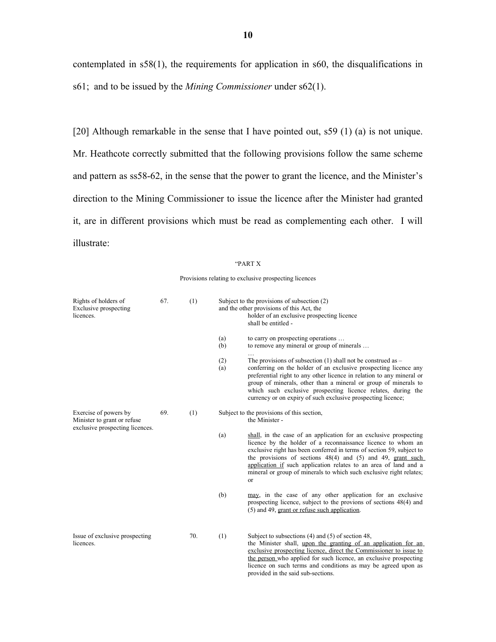contemplated in s58(1), the requirements for application in s60, the disqualifications in s61; and to be issued by the *Mining Commissioner* under s62(1).

[20] Although remarkable in the sense that I have pointed out, s59 (1) (a) is not unique. Mr. Heathcote correctly submitted that the following provisions follow the same scheme and pattern as ss58-62, in the sense that the power to grant the licence, and the Minister's direction to the Mining Commissioner to issue the licence after the Minister had granted it, are in different provisions which must be read as complementing each other. I will illustrate:

#### "PART X

Provisions relating to exclusive prospecting licences

| Rights of holders of<br>Exclusive prospecting<br>licences.                               | 67. | (1) | Subject to the provisions of subsection (2)<br>and the other provisions of this Act, the<br>holder of an exclusive prospecting licence<br>shall be entitled - |                                                                                                                                                                                                                                                                                                                                                                                                                                   |  |
|------------------------------------------------------------------------------------------|-----|-----|---------------------------------------------------------------------------------------------------------------------------------------------------------------|-----------------------------------------------------------------------------------------------------------------------------------------------------------------------------------------------------------------------------------------------------------------------------------------------------------------------------------------------------------------------------------------------------------------------------------|--|
|                                                                                          |     |     | (a)<br>(b)                                                                                                                                                    | to carry on prospecting operations<br>to remove any mineral or group of minerals                                                                                                                                                                                                                                                                                                                                                  |  |
|                                                                                          |     |     | (2)<br>(a)                                                                                                                                                    | The provisions of subsection $(1)$ shall not be construed as $-$<br>conferring on the holder of an exclusive prospecting licence any<br>preferential right to any other licence in relation to any mineral or<br>group of minerals, other than a mineral or group of minerals to<br>which such exclusive prospecting licence relates, during the<br>currency or on expiry of such exclusive prospecting licence;                  |  |
| Exercise of powers by<br>Minister to grant or refuse.<br>exclusive prospecting licences. | 69. | (1) |                                                                                                                                                               | Subject to the provisions of this section,<br>the Minister -                                                                                                                                                                                                                                                                                                                                                                      |  |
|                                                                                          |     |     | (a)                                                                                                                                                           | shall, in the case of an application for an exclusive prospecting<br>licence by the holder of a reconnaissance licence to whom an<br>exclusive right has been conferred in terms of section 59, subject to<br>the provisions of sections $48(4)$ and $(5)$ and $49$ , grant such<br>application if such application relates to an area of land and a<br>mineral or group of minerals to which such exclusive right relates;<br>or |  |
|                                                                                          |     |     | (b)                                                                                                                                                           | may, in the case of any other application for an exclusive<br>prospecting licence, subject to the provions of sections 48(4) and<br>(5) and 49, grant or refuse such application.                                                                                                                                                                                                                                                 |  |
| Issue of exclusive prospecting<br>licences.                                              |     | 70. | (1)                                                                                                                                                           | Subject to subsections $(4)$ and $(5)$ of section 48,<br>the Minister shall, upon the granting of an application for an<br>exclusive prospecting licence, direct the Commissioner to issue to<br>the person who applied for such licence, an exclusive prospecting<br>licence on such terms and conditions as may be agreed upon as<br>provided in the said sub-sections.                                                         |  |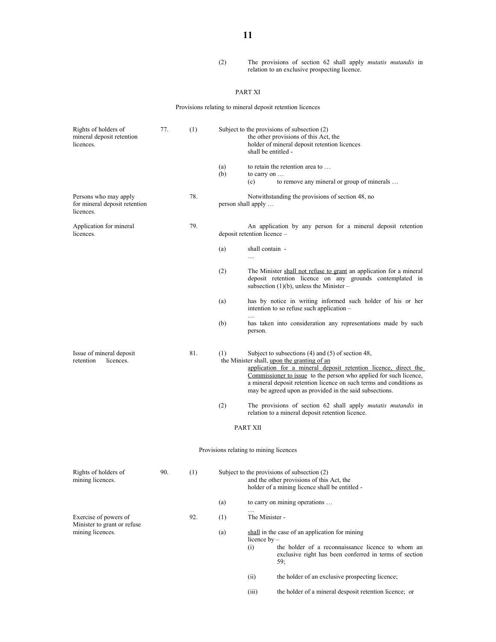#### (2) The provisions of section 62 shall apply *mutatis mutandis* in relation to an exclusive prospecting licence.

#### PART XI

Provisions relating to mineral deposit retention licences

| Rights of holders of<br>mineral deposit retention<br>licences.           | 77. | (1) |            | shall be entitled -                    | Subject to the provisions of subsection (2)<br>the other provisions of this Act, the<br>holder of mineral deposit retention licences                                                                                                                                                                                                                                           |
|--------------------------------------------------------------------------|-----|-----|------------|----------------------------------------|--------------------------------------------------------------------------------------------------------------------------------------------------------------------------------------------------------------------------------------------------------------------------------------------------------------------------------------------------------------------------------|
|                                                                          |     |     | (a)<br>(b) | to carry on<br>(c)                     | to retain the retention area to<br>to remove any mineral or group of minerals                                                                                                                                                                                                                                                                                                  |
| Persons who may apply<br>for mineral deposit retention<br>licences.      |     | 78. |            | person shall apply                     | Notwithstanding the provisions of section 48, no                                                                                                                                                                                                                                                                                                                               |
| Application for mineral<br>licences.                                     |     | 79. |            | deposit retention licence -            | An application by any person for a mineral deposit retention                                                                                                                                                                                                                                                                                                                   |
|                                                                          |     |     | (a)        | shall contain -<br>$\cdots$            |                                                                                                                                                                                                                                                                                                                                                                                |
|                                                                          |     |     | (2)        |                                        | The Minister shall not refuse to grant an application for a mineral<br>deposit retention licence on any grounds contemplated in<br>subsection $(1)(b)$ , unless the Minister –                                                                                                                                                                                                 |
|                                                                          |     |     | (a)        |                                        | has by notice in writing informed such holder of his or her<br>intention to so refuse such application -                                                                                                                                                                                                                                                                       |
|                                                                          |     |     | (b)        | person.                                | has taken into consideration any representations made by such                                                                                                                                                                                                                                                                                                                  |
| Issue of mineral deposit<br>retention<br>licences.                       |     | 81. | (1)        |                                        | Subject to subsections $(4)$ and $(5)$ of section 48,<br>the Minister shall, upon the granting of an<br>application for a mineral deposit retention licence, direct the<br>Commissioner to issue to the person who applied for such licence,<br>a mineral deposit retention licence on such terms and conditions as<br>may be agreed upon as provided in the said subsections. |
|                                                                          |     |     | (2)        |                                        | The provisions of section 62 shall apply <i>mutatis mutandis</i> in<br>relation to a mineral deposit retention licence.                                                                                                                                                                                                                                                        |
|                                                                          |     |     |            | PART XII                               |                                                                                                                                                                                                                                                                                                                                                                                |
|                                                                          |     |     |            | Provisions relating to mining licences |                                                                                                                                                                                                                                                                                                                                                                                |
| Rights of holders of<br>mining licences.                                 | 90. | (1) |            |                                        | Subject to the provisions of subsection (2)<br>and the other provisions of this Act, the<br>holder of a mining licence shall be entitled                                                                                                                                                                                                                                       |
|                                                                          |     |     | (a)        |                                        | to carry on mining operations                                                                                                                                                                                                                                                                                                                                                  |
| Exercise of powers of<br>Minister to grant or refuse<br>mining licences. |     | 92. | (1)        | The Minister -                         |                                                                                                                                                                                                                                                                                                                                                                                |
|                                                                          |     |     | (a)        | licence by $-$<br>(i)                  | shall in the case of an application for mining<br>the holder of a reconnaissance licence to whom an<br>exclusive right has been conferred in terms of section<br>59;                                                                                                                                                                                                           |
|                                                                          |     |     |            | (ii)                                   | the holder of an exclusive prospecting licence;                                                                                                                                                                                                                                                                                                                                |
|                                                                          |     |     |            | (iii)                                  | the holder of a mineral desposit retention licence; or                                                                                                                                                                                                                                                                                                                         |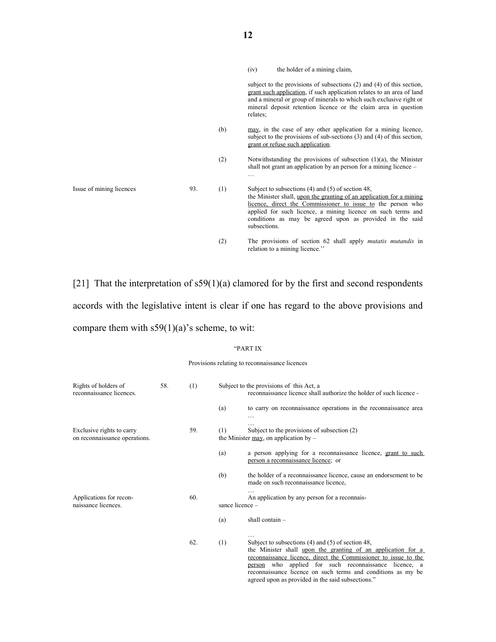|                          |     |     | the holder of a mining claim,<br>(iv)                                                                                                                                                                                                                                                                                                    |
|--------------------------|-----|-----|------------------------------------------------------------------------------------------------------------------------------------------------------------------------------------------------------------------------------------------------------------------------------------------------------------------------------------------|
|                          |     |     | subject to the provisions of subsections $(2)$ and $(4)$ of this section,<br>grant such application, if such application relates to an area of land<br>and a mineral or group of minerals to which such exclusive right or<br>mineral deposit retention licence or the claim area in question<br>relates:                                |
|                          |     | (b) | may, in the case of any other application for a mining licence,<br>subject to the provisions of sub-sections $(3)$ and $(4)$ of this section,<br>grant or refuse such application.                                                                                                                                                       |
|                          |     | (2) | Notwithstanding the provisions of subsection $(1)(a)$ , the Minister<br>shall not grant an application by an person for a mining licence –<br>.                                                                                                                                                                                          |
| Issue of mining licences | 93. | (1) | Subject to subsections $(4)$ and $(5)$ of section 48,<br>the Minister shall, upon the granting of an application for a mining<br>licence, direct the Commissioner to issue to the person who<br>applied for such licence, a mining licence on such terms and<br>conditions as may be agreed upon as provided in the said<br>subsections. |
|                          |     | (2) | The provisions of section 62 shall apply <i>mutatis mutandis</i> in<br>relation to a mining licence."                                                                                                                                                                                                                                    |

[21] That the interpretation of s59(1)(a) clamored for by the first and second respondents accords with the legislative intent is clear if one has regard to the above provisions and compare them with s59(1)(a)'s scheme, to wit:

#### "PART IX

#### Provisions relating to reconnaissance licences

| Rights of holders of<br>reconnaissance licences.           | 58. | (1) |                 | Subject to the provisions of this Act, a<br>reconnaissance licence shall authorize the holder of such licence -                                                                                                                                                                                                                                                    |
|------------------------------------------------------------|-----|-----|-----------------|--------------------------------------------------------------------------------------------------------------------------------------------------------------------------------------------------------------------------------------------------------------------------------------------------------------------------------------------------------------------|
|                                                            |     |     | (a)             | to carry on reconnaissance operations in the reconnaissance area                                                                                                                                                                                                                                                                                                   |
| Exclusive rights to carry<br>on reconnaissance operations. |     | 59. | (1)             | Subject to the provisions of subsection (2)<br>the Minister $\frac{may}{ay}$ , on application by –                                                                                                                                                                                                                                                                 |
|                                                            |     |     | (a)             | a person applying for a reconnaissance licence, grant to such<br>person a reconnaissance licence; or                                                                                                                                                                                                                                                               |
|                                                            |     |     | (b)             | the holder of a reconnaissance licence, cause an endorsement to be<br>made on such reconnaissance licence,                                                                                                                                                                                                                                                         |
| Applications for recon-<br>naissance licences.             |     | 60. | sance licence - | An application by any person for a reconnais-                                                                                                                                                                                                                                                                                                                      |
|                                                            |     |     | (a)             | shall contain -                                                                                                                                                                                                                                                                                                                                                    |
|                                                            |     | 62. | (1)             | Subject to subsections (4) and (5) of section 48,<br>the Minister shall upon the granting of an application for a<br>reconnaissance licence, direct the Commissioner to issue to the<br>person who applied for such reconnaissance licence, a<br>reconnaissance licence on such terms and conditions as my be<br>agreed upon as provided in the said subsections." |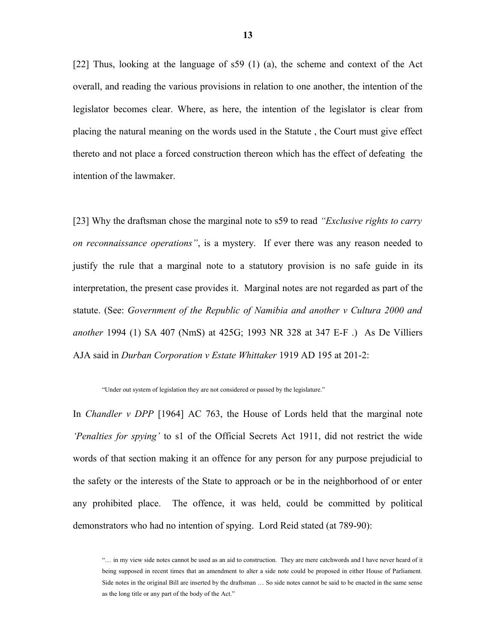[22] Thus, looking at the language of s59 (1) (a), the scheme and context of the Act overall, and reading the various provisions in relation to one another, the intention of the legislator becomes clear. Where, as here, the intention of the legislator is clear from placing the natural meaning on the words used in the Statute , the Court must give effect thereto and not place a forced construction thereon which has the effect of defeating the intention of the lawmaker.

[23] Why the draftsman chose the marginal note to s59 to read *"Exclusive rights to carry on reconnaissance operations"*, is a mystery. If ever there was any reason needed to justify the rule that a marginal note to a statutory provision is no safe guide in its interpretation, the present case provides it. Marginal notes are not regarded as part of the statute. (See: *Government of the Republic of Namibia and another v Cultura 2000 and another* 1994 (1) SA 407 (NmS) at 425G; 1993 NR 328 at 347 E-F .) As De Villiers AJA said in *Durban Corporation v Estate Whittaker* 1919 AD 195 at 201-2:

"Under out system of legislation they are not considered or passed by the legislature."

In *Chandler v DPP* [1964] AC 763, the House of Lords held that the marginal note *'Penalties for spying'* to s1 of the Official Secrets Act 1911, did not restrict the wide words of that section making it an offence for any person for any purpose prejudicial to the safety or the interests of the State to approach or be in the neighborhood of or enter any prohibited place. The offence, it was held, could be committed by political demonstrators who had no intention of spying. Lord Reid stated (at 789-90):

<sup>&</sup>quot;… in my view side notes cannot be used as an aid to construction. They are mere catchwords and I have never heard of it being supposed in recent times that an amendment to alter a side note could be proposed in either House of Parliament. Side notes in the original Bill are inserted by the draftsman … So side notes cannot be said to be enacted in the same sense as the long title or any part of the body of the Act."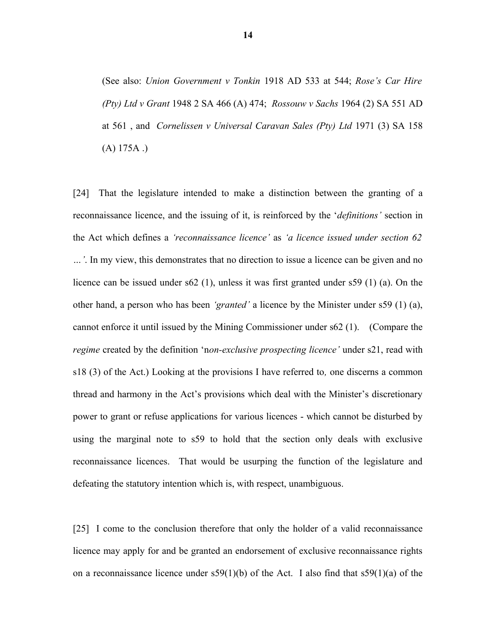(See also: *Union Government v Tonkin* 1918 AD 533 at 544; *Rose's Car Hire (Pty) Ltd v Grant* 1948 2 SA 466 (A) 474; *Rossouw v Sachs* 1964 (2) SA 551 AD at 561 , and *Cornelissen v Universal Caravan Sales (Pty) Ltd* 1971 (3) SA 158  $(A) 175A.$ 

[24] That the legislature intended to make a distinction between the granting of a reconnaissance licence, and the issuing of it, is reinforced by the '*definitions'* section in the Act which defines a *'reconnaissance licence'* as *'a licence issued under section 62 …'*. In my view, this demonstrates that no direction to issue a licence can be given and no licence can be issued under s62 (1), unless it was first granted under s59 (1) (a). On the other hand, a person who has been *'granted'* a licence by the Minister under s59 (1) (a), cannot enforce it until issued by the Mining Commissioner under s62 (1). (Compare the *regime* created by the definition 'n*on-exclusive prospecting licence'* under s21, read with s18 (3) of the Act.) Looking at the provisions I have referred to*,* one discerns a common thread and harmony in the Act's provisions which deal with the Minister's discretionary power to grant or refuse applications for various licences - which cannot be disturbed by using the marginal note to s59 to hold that the section only deals with exclusive reconnaissance licences. That would be usurping the function of the legislature and defeating the statutory intention which is, with respect, unambiguous.

[25] I come to the conclusion therefore that only the holder of a valid reconnaissance licence may apply for and be granted an endorsement of exclusive reconnaissance rights on a reconnaissance licence under  $s59(1)(b)$  of the Act. I also find that  $s59(1)(a)$  of the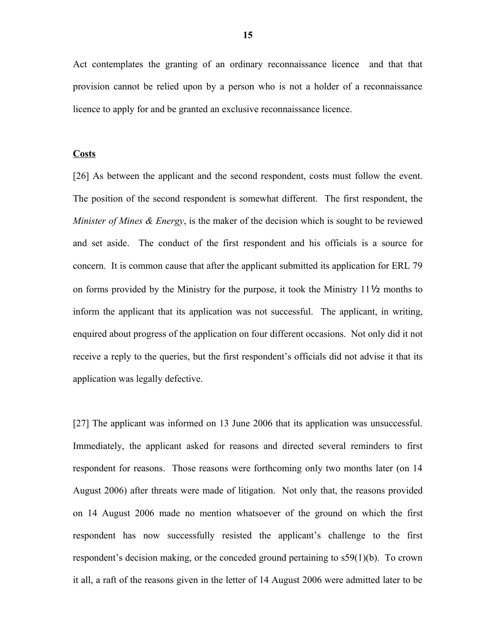Act contemplates the granting of an ordinary reconnaissance licence and that that provision cannot be relied upon by a person who is not a holder of a reconnaissance licence to apply for and be granted an exclusive reconnaissance licence.

### **Costs**

[26] As between the applicant and the second respondent, costs must follow the event. The position of the second respondent is somewhat different. The first respondent, the *Minister of Mines & Energy*, is the maker of the decision which is sought to be reviewed and set aside. The conduct of the first respondent and his officials is a source for concern. It is common cause that after the applicant submitted its application for ERL 79 on forms provided by the Ministry for the purpose, it took the Ministry 11½ months to inform the applicant that its application was not successful. The applicant, in writing, enquired about progress of the application on four different occasions. Not only did it not receive a reply to the queries, but the first respondent's officials did not advise it that its application was legally defective.

[27] The applicant was informed on 13 June 2006 that its application was unsuccessful. Immediately, the applicant asked for reasons and directed several reminders to first respondent for reasons. Those reasons were forthcoming only two months later (on 14 August 2006) after threats were made of litigation. Not only that, the reasons provided on 14 August 2006 made no mention whatsoever of the ground on which the first respondent has now successfully resisted the applicant's challenge to the first respondent's decision making, or the conceded ground pertaining to s59(1)(b). To crown it all, a raft of the reasons given in the letter of 14 August 2006 were admitted later to be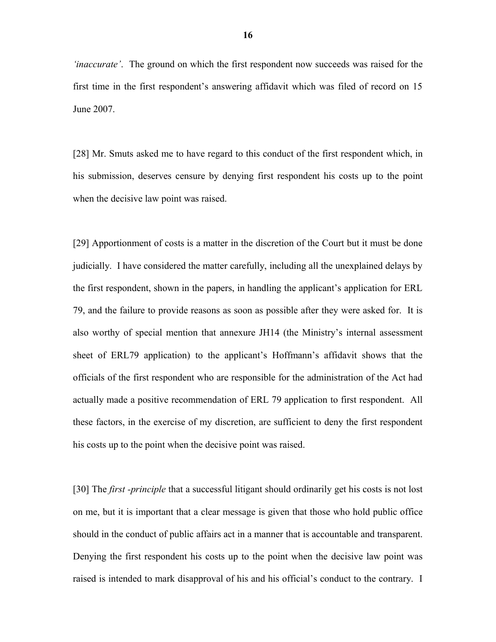*'inaccurate'*. The ground on which the first respondent now succeeds was raised for the first time in the first respondent's answering affidavit which was filed of record on 15 June 2007.

[28] Mr. Smuts asked me to have regard to this conduct of the first respondent which, in his submission, deserves censure by denying first respondent his costs up to the point when the decisive law point was raised.

[29] Apportionment of costs is a matter in the discretion of the Court but it must be done judicially. I have considered the matter carefully, including all the unexplained delays by the first respondent, shown in the papers, in handling the applicant's application for ERL 79, and the failure to provide reasons as soon as possible after they were asked for. It is also worthy of special mention that annexure JH14 (the Ministry's internal assessment sheet of ERL79 application) to the applicant's Hoffmann's affidavit shows that the officials of the first respondent who are responsible for the administration of the Act had actually made a positive recommendation of ERL 79 application to first respondent. All these factors, in the exercise of my discretion, are sufficient to deny the first respondent his costs up to the point when the decisive point was raised.

[30] The *first -principle* that a successful litigant should ordinarily get his costs is not lost on me, but it is important that a clear message is given that those who hold public office should in the conduct of public affairs act in a manner that is accountable and transparent. Denying the first respondent his costs up to the point when the decisive law point was raised is intended to mark disapproval of his and his official's conduct to the contrary. I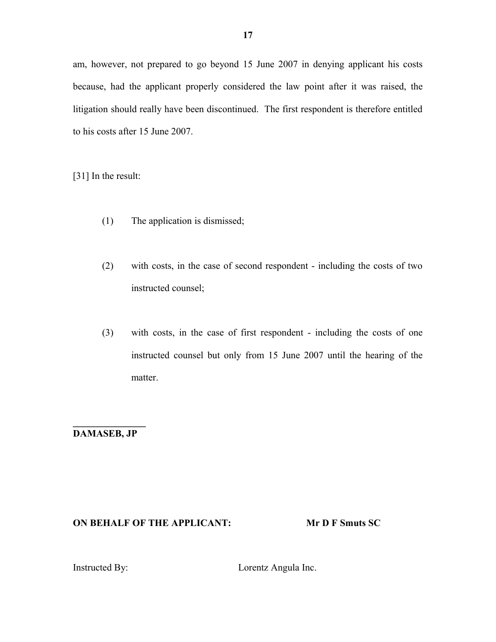am, however, not prepared to go beyond 15 June 2007 in denying applicant his costs because, had the applicant properly considered the law point after it was raised, the litigation should really have been discontinued. The first respondent is therefore entitled to his costs after 15 June 2007.

[31] In the result:

- (1) The application is dismissed;
- (2) with costs, in the case of second respondent including the costs of two instructed counsel;
- (3) with costs, in the case of first respondent including the costs of one instructed counsel but only from 15 June 2007 until the hearing of the matter.

**\_\_\_\_\_\_\_\_\_\_\_\_\_\_\_ DAMASEB, JP**

## **ON BEHALF OF THE APPLICANT: Mr D F Smuts SC**

Instructed By: Lorentz Angula Inc.